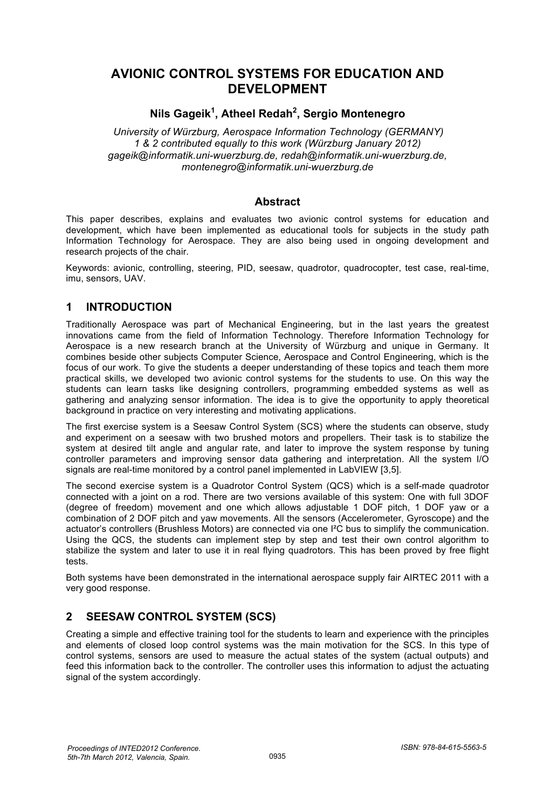# **AVIONIC CONTROL SYSTEMS FOR EDUCATION AND DEVELOPMENT**

## **Nils Gageik1 , Atheel Redah2 , Sergio Montenegro**

*University of Würzburg, Aerospace Information Technology (GERMANY) 1 & 2 contributed equally to this work (Würzburg January 2012) gageik@informatik.uni-wuerzburg.de, redah@informatik.uni-wuerzburg.de, montenegro@informatik.uni-wuerzburg.de* 

### **Abstract**

This paper describes, explains and evaluates two avionic control systems for education and development, which have been implemented as educational tools for subjects in the study path Information Technology for Aerospace. They are also being used in ongoing development and research projects of the chair.

Keywords: avionic, controlling, steering, PID, seesaw, quadrotor, quadrocopter, test case, real-time, imu, sensors, UAV.

### **1 INTRODUCTION**

Traditionally Aerospace was part of Mechanical Engineering, but in the last years the greatest innovations came from the field of Information Technology. Therefore Information Technology for Aerospace is a new research branch at the University of Würzburg and unique in Germany. It combines beside other subjects Computer Science, Aerospace and Control Engineering, which is the focus of our work. To give the students a deeper understanding of these topics and teach them more practical skills, we developed two avionic control systems for the students to use. On this way the students can learn tasks like designing controllers, programming embedded systems as well as gathering and analyzing sensor information. The idea is to give the opportunity to apply theoretical background in practice on very interesting and motivating applications.

The first exercise system is a Seesaw Control System (SCS) where the students can observe, study and experiment on a seesaw with two brushed motors and propellers. Their task is to stabilize the system at desired tilt angle and angular rate, and later to improve the system response by tuning controller parameters and improving sensor data gathering and interpretation. All the system I/O signals are real-time monitored by a control panel implemented in LabVIEW [3,5].

The second exercise system is a Quadrotor Control System (QCS) which is a self-made quadrotor connected with a joint on a rod. There are two versions available of this system: One with full 3DOF (degree of freedom) movement and one which allows adjustable 1 DOF pitch, 1 DOF yaw or a combination of 2 DOF pitch and yaw movements. All the sensors (Accelerometer, Gyroscope) and the actuator's controllers (Brushless Motors) are connected via one I²C bus to simplify the communication. Using the QCS, the students can implement step by step and test their own control algorithm to stabilize the system and later to use it in real flying quadrotors. This has been proved by free flight tests.

Both systems have been demonstrated in the international aerospace supply fair AIRTEC 2011 with a very good response.

## **2 SEESAW CONTROL SYSTEM (SCS)**

Creating a simple and effective training tool for the students to learn and experience with the principles and elements of closed loop control systems was the main motivation for the SCS. In this type of control systems, sensors are used to measure the actual states of the system (actual outputs) and feed this information back to the controller. The controller uses this information to adjust the actuating signal of the system accordingly.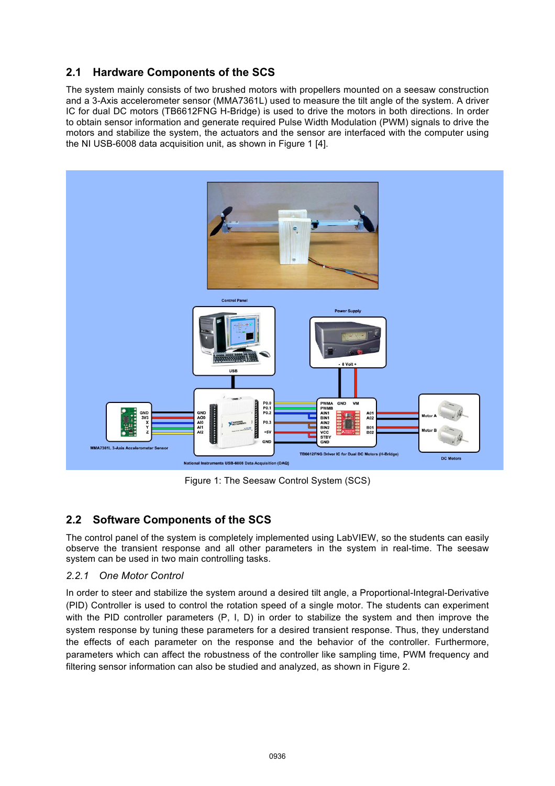## **2.1 Hardware Components of the SCS**

The system mainly consists of two brushed motors with propellers mounted on a seesaw construction and a 3-Axis accelerometer sensor (MMA7361L) used to measure the tilt angle of the system. A driver IC for dual DC motors (TB6612FNG H-Bridge) is used to drive the motors in both directions. In order to obtain sensor information and generate required Pulse Width Modulation (PWM) signals to drive the motors and stabilize the system, the actuators and the sensor are interfaced with the computer using the NI USB-6008 data acquisition unit, as shown in Figure 1 [4].



Figure 1: The Seesaw Control System (SCS)

## **2.2 Software Components of the SCS**

The control panel of the system is completely implemented using LabVIEW, so the students can easily observe the transient response and all other parameters in the system in real-time. The seesaw system can be used in two main controlling tasks.

#### *2.2.1 One Motor Control*

In order to steer and stabilize the system around a desired tilt angle, a Proportional-Integral-Derivative (PID) Controller is used to control the rotation speed of a single motor. The students can experiment with the PID controller parameters (P, I, D) in order to stabilize the system and then improve the system response by tuning these parameters for a desired transient response. Thus, they understand the effects of each parameter on the response and the behavior of the controller. Furthermore, parameters which can affect the robustness of the controller like sampling time, PWM frequency and filtering sensor information can also be studied and analyzed, as shown in Figure 2.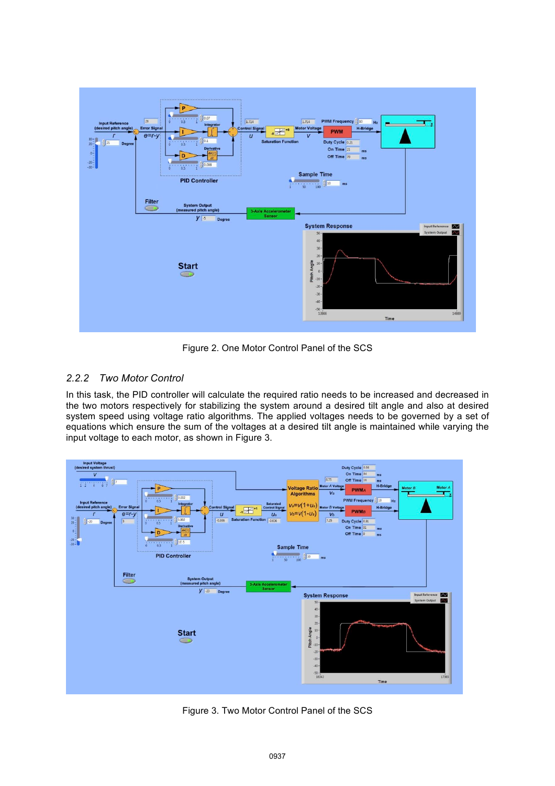

Figure 2. One Motor Control Panel of the SCS

### *2.2.2 Two Motor Control*

In this task, the PID controller will calculate the required ratio needs to be increased and decreased in the two motors respectively for stabilizing the system around a desired tilt angle and also at desired system speed using voltage ratio algorithms. The applied voltages needs to be governed by a set of equations which ensure the sum of the voltages at a desired tilt angle is maintained while varying the input voltage to each motor, as shown in Figure 3.



Figure 3. Two Motor Control Panel of the SCS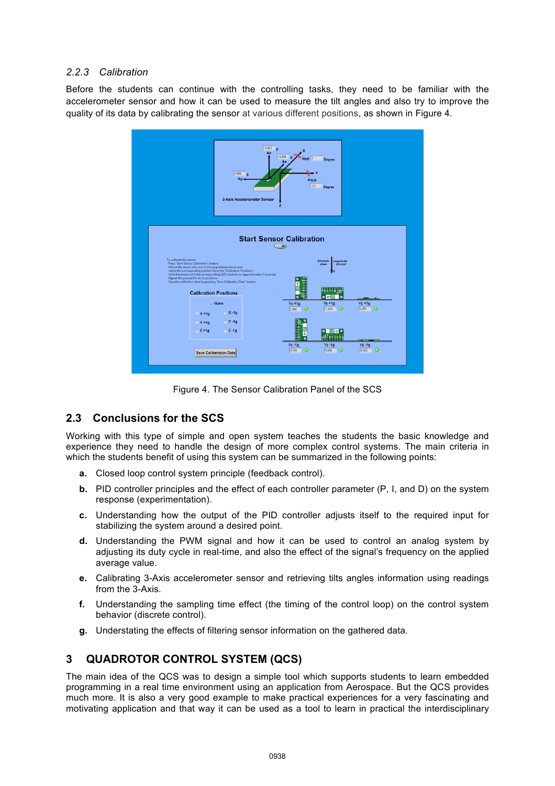#### *2.2.3 Calibration*

Before the students can continue with the controlling tasks, they need to be familiar with the accelerometer sensor and how it can be used to measure the tilt angles and also try to improve the quality of its data by calibrating the sensor at various different positions, as shown in Figure 4.



Figure 4. The Sensor Calibration Panel of the SCS

### **2.3 Conclusions for the SCS**

Working with this type of simple and open system teaches the students the basic knowledge and experience they need to handle the design of more complex control systems. The main criteria in which the students benefit of using this system can be summarized in the following points:

- **a.** Closed loop control system principle (feedback control).
- **b.** PID controller principles and the effect of each controller parameter (P, I, and D) on the system response (experimentation).
- **c.** Understanding how the output of the PID controller adjusts itself to the required input for stabilizing the system around a desired point.
- **d.** Understanding the PWM signal and how it can be used to control an analog system by adjusting its duty cycle in real-time, and also the effect of the signal's frequency on the applied average value.
- **e.** Calibrating 3-Axis accelerometer sensor and retrieving tilts angles information using readings from the 3-Axis.
- **f.** Understanding the sampling time effect (the timing of the control loop) on the control system behavior (discrete control).
- **g.** Understating the effects of filtering sensor information on the gathered data.

## **3 QUADROTOR CONTROL SYSTEM (QCS)**

The main idea of the QCS was to design a simple tool which supports students to learn embedded programming in a real time environment using an application from Aerospace. But the QCS provides much more. It is also a very good example to make practical experiences for a very fascinating and motivating application and that way it can be used as a tool to learn in practical the interdisciplinary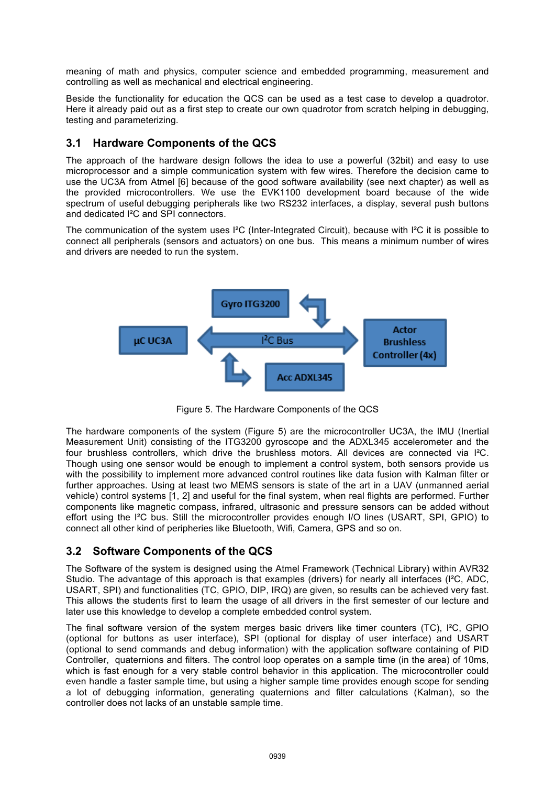meaning of math and physics, computer science and embedded programming, measurement and controlling as well as mechanical and electrical engineering.

Beside the functionality for education the QCS can be used as a test case to develop a quadrotor. Here it already paid out as a first step to create our own quadrotor from scratch helping in debugging, testing and parameterizing.

### **3.1 Hardware Components of the QCS**

The approach of the hardware design follows the idea to use a powerful (32bit) and easy to use microprocessor and a simple communication system with few wires. Therefore the decision came to use the UC3A from Atmel [6] because of the good software availability (see next chapter) as well as the provided microcontrollers. We use the EVK1100 development board because of the wide spectrum of useful debugging peripherals like two RS232 interfaces, a display, several push buttons and dedicated I²C and SPI connectors.

The communication of the system uses I<sup>2</sup>C (Inter-Integrated Circuit), because with I<sup>2</sup>C it is possible to connect all peripherals (sensors and actuators) on one bus. This means a minimum number of wires and drivers are needed to run the system.



Figure 5. The Hardware Components of the QCS

The hardware components of the system (Figure 5) are the microcontroller UC3A, the IMU (Inertial Measurement Unit) consisting of the ITG3200 gyroscope and the ADXL345 accelerometer and the four brushless controllers, which drive the brushless motors. All devices are connected via I²C. Though using one sensor would be enough to implement a control system, both sensors provide us with the possibility to implement more advanced control routines like data fusion with Kalman filter or further approaches. Using at least two MEMS sensors is state of the art in a UAV (unmanned aerial vehicle) control systems [1, 2] and useful for the final system, when real flights are performed. Further components like magnetic compass, infrared, ultrasonic and pressure sensors can be added without effort using the I<sup>2</sup>C bus. Still the microcontroller provides enough I/O lines (USART, SPI, GPIO) to connect all other kind of peripheries like Bluetooth, Wifi, Camera, GPS and so on.

### **3.2 Software Components of the QCS**

The Software of the system is designed using the Atmel Framework (Technical Library) within AVR32 Studio. The advantage of this approach is that examples (drivers) for nearly all interfaces (I²C, ADC, USART, SPI) and functionalities (TC, GPIO, DIP, IRQ) are given, so results can be achieved very fast. This allows the students first to learn the usage of all drivers in the first semester of our lecture and later use this knowledge to develop a complete embedded control system.

The final software version of the system merges basic drivers like timer counters (TC), I<sup>2</sup>C, GPIO (optional for buttons as user interface), SPI (optional for display of user interface) and USART (optional to send commands and debug information) with the application software containing of PID Controller, quaternions and filters. The control loop operates on a sample time (in the area) of 10ms, which is fast enough for a very stable control behavior in this application. The microcontroller could even handle a faster sample time, but using a higher sample time provides enough scope for sending a lot of debugging information, generating quaternions and filter calculations (Kalman), so the controller does not lacks of an unstable sample time.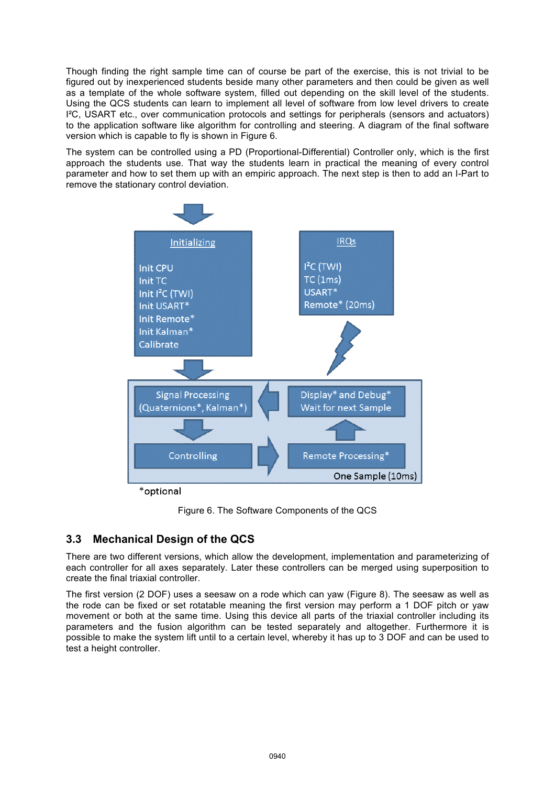Though finding the right sample time can of course be part of the exercise, this is not trivial to be figured out by inexperienced students beside many other parameters and then could be given as well as a template of the whole software system, filled out depending on the skill level of the students. Using the QCS students can learn to implement all level of software from low level drivers to create I²C, USART etc., over communication protocols and settings for peripherals (sensors and actuators) to the application software like algorithm for controlling and steering. A diagram of the final software version which is capable to fly is shown in Figure 6.

The system can be controlled using a PD (Proportional-Differential) Controller only, which is the first approach the students use. That way the students learn in practical the meaning of every control parameter and how to set them up with an empiric approach. The next step is then to add an I-Part to remove the stationary control deviation.



\*optional

Figure 6. The Software Components of the QCS

## **3.3 Mechanical Design of the QCS**

There are two different versions, which allow the development, implementation and parameterizing of each controller for all axes separately. Later these controllers can be merged using superposition to create the final triaxial controller.

The first version (2 DOF) uses a seesaw on a rode which can yaw (Figure 8). The seesaw as well as the rode can be fixed or set rotatable meaning the first version may perform a 1 DOF pitch or yaw movement or both at the same time. Using this device all parts of the triaxial controller including its parameters and the fusion algorithm can be tested separately and altogether. Furthermore it is possible to make the system lift until to a certain level, whereby it has up to 3 DOF and can be used to test a height controller.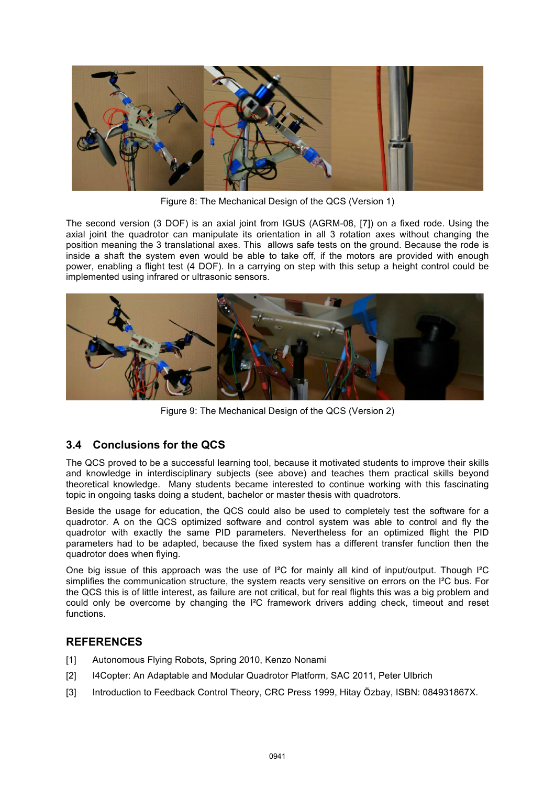

Figure 8: The Mechanical Design of the QCS (Version 1)

The second version (3 DOF) is an axial joint from IGUS (AGRM-08, [7]) on a fixed rode. Using the axial joint the quadrotor can manipulate its orientation in all 3 rotation axes without changing the position meaning the 3 translational axes. This allows safe tests on the ground. Because the rode is inside a shaft the system even would be able to take off, if the motors are provided with enough power, enabling a flight test (4 DOF). In a carrying on step with this setup a height control could be implemented using infrared or ultrasonic sensors.



Figure 9: The Mechanical Design of the QCS (Version 2)

### **3.4 Conclusions for the QCS**

The QCS proved to be a successful learning tool, because it motivated students to improve their skills and knowledge in interdisciplinary subjects (see above) and teaches them practical skills beyond theoretical knowledge. Many students became interested to continue working with this fascinating topic in ongoing tasks doing a student, bachelor or master thesis with quadrotors.

Beside the usage for education, the QCS could also be used to completely test the software for a quadrotor. A on the QCS optimized software and control system was able to control and fly the quadrotor with exactly the same PID parameters. Nevertheless for an optimized flight the PID parameters had to be adapted, because the fixed system has a different transfer function then the quadrotor does when flying.

One big issue of this approach was the use of I²C for mainly all kind of input/output. Though I²C simplifies the communication structure, the system reacts very sensitive on errors on the I²C bus. For the QCS this is of little interest, as failure are not critical, but for real flights this was a big problem and could only be overcome by changing the I²C framework drivers adding check, timeout and reset functions.

#### **REFERENCES**

- [1] Autonomous Flying Robots, Spring 2010, Kenzo Nonami
- [2] I4Copter: An Adaptable and Modular Quadrotor Platform, SAC 2011, Peter Ulbrich
- [3] Introduction to Feedback Control Theory, CRC Press 1999, Hitay Özbay, ISBN: 084931867X.